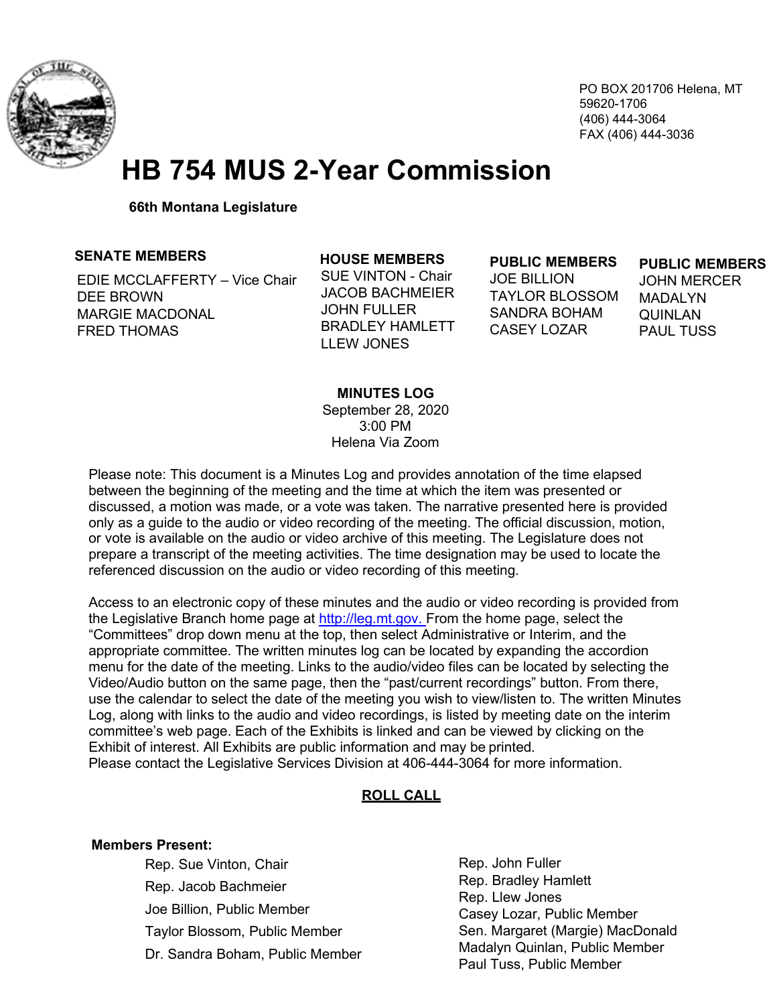

PO BOX 201706 Helena, MT 59620-1706 (406) 444-3064 FAX (406) 444-3036

# **HB 754 MUS 2-Year Commission**

**66th Montana Legislature**

#### **SENATE MEMBERS**

EDIE MCCLAFFERTY – Vice Chair DEE BROWN MARGIE MACDONAL FRED THOMAS

#### **HOUSE MEMBERS**  SUE VINTON - Chair

JACOB BACHMEIER JOHN FULLER BRADLEY HAMLETT LLEW JONES

#### **PUBLIC MEMBERS**

JOE BILLION TAYLOR BLOSSOM SANDRA BOHAM CASEY LOZAR

#### **PUBLIC MEMBERS**

JOHN MERCER **MADALYN** QUINLAN PAUL TUSS

#### **MINUTES LOG**

September 28, 2020 3:00 PM Helena Via Zoom

Please note: This document is a Minutes Log and provides annotation of the time elapsed between the beginning of the meeting and the time at which the item was presented or discussed, a motion was made, or a vote was taken. The narrative presented here is provided only as a guide to the audio or video recording of the meeting. The official discussion, motion, or vote is available on the audio or video archive of this meeting. The Legislature does not prepare a transcript of the meeting activities. The time designation may be used to locate the referenced discussion on the audio or video recording of this meeting.

Access to an electronic copy of these minutes and the audio or video recording is provided from the Legislative Branch home page at [http://leg.mt.gov. F](http://leg.mt.gov./)rom the home page, select the "Committees" drop down menu at the top, then select Administrative or Interim, and the appropriate committee. The written minutes log can be located by expanding the accordion menu for the date of the meeting. Links to the audio/video files can be located by selecting the Video/Audio button on the same page, then the "past/current recordings" button. From there, use the calendar to select the date of the meeting you wish to view/listen to. The written Minutes Log, along with links to the audio and video recordings, is listed by meeting date on the interim committee's web page. Each of the Exhibits is linked and can be viewed by clicking on the Exhibit of interest. All Exhibits are public information and may be printed. Please contact the Legislative Services Division at 406-444-3064 for more information.

### **ROLL CALL**

#### **Members Present:**

Rep. Sue Vinton, Chair Rep. Jacob Bachmeier Joe Billion, Public Member Taylor Blossom, Public Member Dr. Sandra Boham, Public Member Rep. John Fuller Rep. Bradley Hamlett Rep. Llew Jones Casey Lozar, Public Member Sen. Margaret (Margie) MacDonald Madalyn Quinlan, Public Member Paul Tuss, Public Member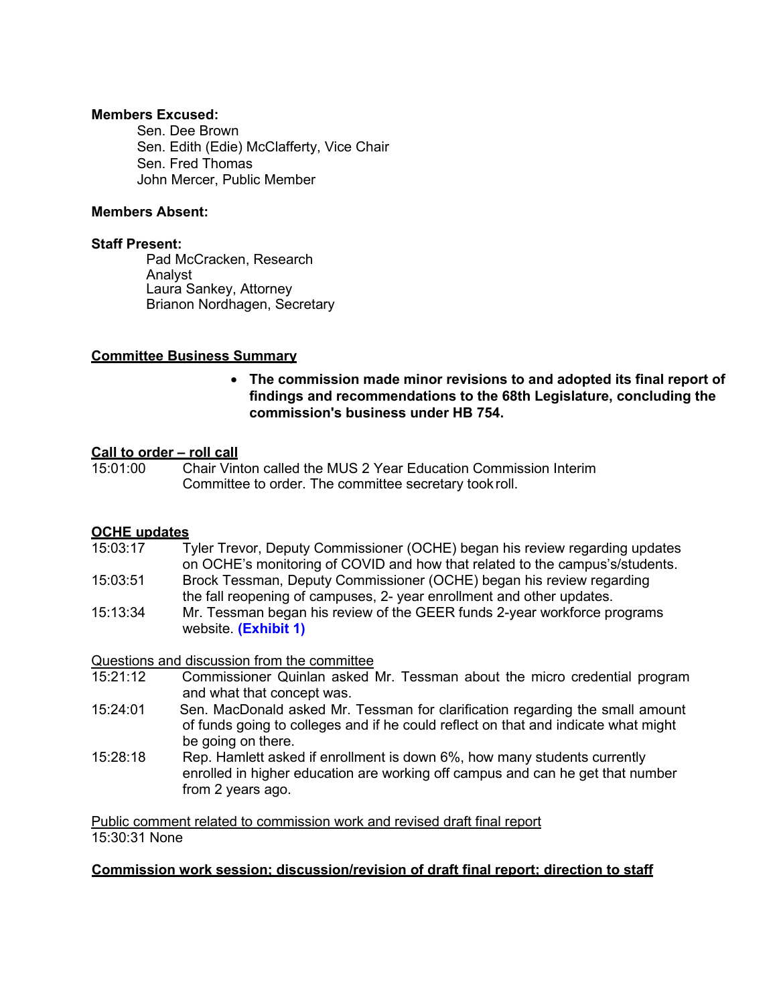#### **Members Excused:**

Sen. Dee Brown Sen. Edith (Edie) McClafferty, Vice Chair Sen. Fred Thomas John Mercer, Public Member

#### **Members Absent:**

#### **Staff Present:**

Pad McCracken, Research Analyst Laura Sankey, Attorney Brianon Nordhagen, Secretary

### **Committee Business Summary**

• **The commission made minor revisions to and adopted its final report of findings and recommendations to the 68th Legislature, concluding the commission's business under HB 754.**

## **Call to order – roll call**<br>15:01:00 Chair Vin

15:01:00 Chair Vinton called the MUS 2 Year Education Commission Interim Committee to order. The committee secretary took roll.

### **OCHE updates**

- 15:03:17 Tyler Trevor, Deputy Commissioner (OCHE) began his review regarding updates on OCHE's monitoring of COVID and how that related to the campus's/students.
- 15:03:51 Brock Tessman, Deputy Commissioner (OCHE) began his review regarding the fall reopening of campuses, 2- year enrollment and other updates.
- 15:13:34 Mr. Tessman began his review of the GEER funds 2-year workforce programs website. **[\(Exhibit 1\)](https://mus.edu/geer/)**

Questions and discussion from the committee

- 15:21:12 Commissioner Quinlan asked Mr. Tessman about the micro credential program and what that concept was.
- 15:24:01 Sen. MacDonald asked Mr. Tessman for clarification regarding the small amount of funds going to colleges and if he could reflect on that and indicate what might be going on there.
- 15:28:18 Rep. Hamlett asked if enrollment is down 6%, how many students currently enrolled in higher education are working off campus and can he get that number from 2 years ago.

Public comment related to commission work and revised draft final report 15:30:31 None

### **Commission work session; discussion/revision of draft final report; direction to staff**